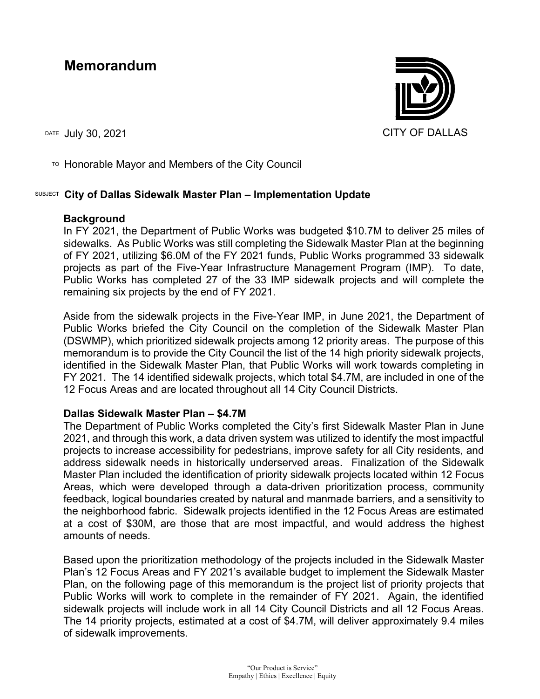## **Memorandum**

DATE JUIV 30, 2021 CITY OF DALLAS

 $\overline{P}$  Honorable Mayor and Members of the City Council

## SUBJECT **City of Dallas Sidewalk Master Plan – Implementation Update**

## **Background**

In FY 2021, the Department of Public Works was budgeted \$10.7M to deliver 25 miles of sidewalks. As Public Works was still completing the Sidewalk Master Plan at the beginning of FY 2021, utilizing \$6.0M of the FY 2021 funds, Public Works programmed 33 sidewalk projects as part of the Five-Year Infrastructure Management Program (IMP). To date, Public Works has completed 27 of the 33 IMP sidewalk projects and will complete the remaining six projects by the end of FY 2021.

Aside from the sidewalk projects in the Five-Year IMP, in June 2021, the Department of Public Works briefed the City Council on the completion of the Sidewalk Master Plan (DSWMP), which prioritized sidewalk projects among 12 priority areas. The purpose of this memorandum is to provide the City Council the list of the 14 high priority sidewalk projects, identified in the Sidewalk Master Plan, that Public Works will work towards completing in FY 2021. The 14 identified sidewalk projects, which total \$4.7M, are included in one of the 12 Focus Areas and are located throughout all 14 City Council Districts.

## **Dallas Sidewalk Master Plan – \$4.7M**

The Department of Public Works completed the City's first Sidewalk Master Plan in June 2021, and through this work, a data driven system was utilized to identify the most impactful projects to increase accessibility for pedestrians, improve safety for all City residents, and address sidewalk needs in historically underserved areas. Finalization of the Sidewalk Master Plan included the identification of priority sidewalk projects located within 12 Focus Areas, which were developed through a data-driven prioritization process, community feedback, logical boundaries created by natural and manmade barriers, and a sensitivity to the neighborhood fabric. Sidewalk projects identified in the 12 Focus Areas are estimated at a cost of \$30M, are those that are most impactful, and would address the highest amounts of needs.

Based upon the prioritization methodology of the projects included in the Sidewalk Master Plan's 12 Focus Areas and FY 2021's available budget to implement the Sidewalk Master Plan, on the following page of this memorandum is the project list of priority projects that Public Works will work to complete in the remainder of FY 2021. Again, the identified sidewalk projects will include work in all 14 City Council Districts and all 12 Focus Areas. The 14 priority projects, estimated at a cost of \$4.7M, will deliver approximately 9.4 miles of sidewalk improvements.